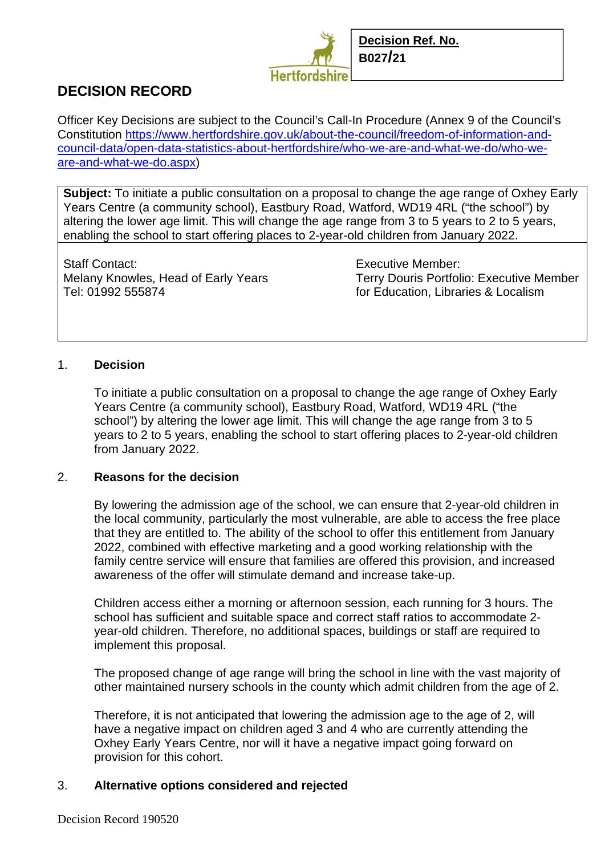

# **DECISION RECORD**

Officer Key Decisions are subject to the Council's Call-In Procedure (Annex 9 of the Council's Constitution https://www.hertfordshire.gov.uk/about-the-council/freedom-of-information-andcouncil-data/open-data-statistics-about-hertfordshire/who-we-are-and-what-we-do/who-weare-and-what-we-do.aspx)

**Subject:** To initiate a public consultation on a proposal to change the age range of Oxhey Early Years Centre (a community school), Eastbury Road, Watford, WD19 4RL ("the school") by altering the lower age limit. This will change the age range from 3 to 5 years to 2 to 5 years, enabling the school to start offering places to 2-year-old children from January 2022.

Staff Contact: Executive Member: Tel: 01992 555874 for Education, Libraries & Localism

Melany Knowles, Head of Early Years Terry Douris Portfolio: Executive Member

## 1. **Decision**

To initiate a public consultation on a proposal to change the age range of Oxhey Early Years Centre (a community school), Eastbury Road, Watford, WD19 4RL ("the school") by altering the lower age limit. This will change the age range from 3 to 5 years to 2 to 5 years, enabling the school to start offering places to 2-year-old children from January 2022.

#### 2. **Reasons for the decision**

By lowering the admission age of the school, we can ensure that 2-year-old children in the local community, particularly the most vulnerable, are able to access the free place that they are entitled to. The ability of the school to offer this entitlement from January 2022, combined with effective marketing and a good working relationship with the family centre service will ensure that families are offered this provision, and increased awareness of the offer will stimulate demand and increase take-up.

Children access either a morning or afternoon session, each running for 3 hours. The school has sufficient and suitable space and correct staff ratios to accommodate 2 year-old children. Therefore, no additional spaces, buildings or staff are required to implement this proposal.

The proposed change of age range will bring the school in line with the vast majority of other maintained nursery schools in the county which admit children from the age of 2.

Therefore, it is not anticipated that lowering the admission age to the age of 2, will have a negative impact on children aged 3 and 4 who are currently attending the Oxhey Early Years Centre, nor will it have a negative impact going forward on provision for this cohort.

#### 3. **Alternative options considered and rejected**